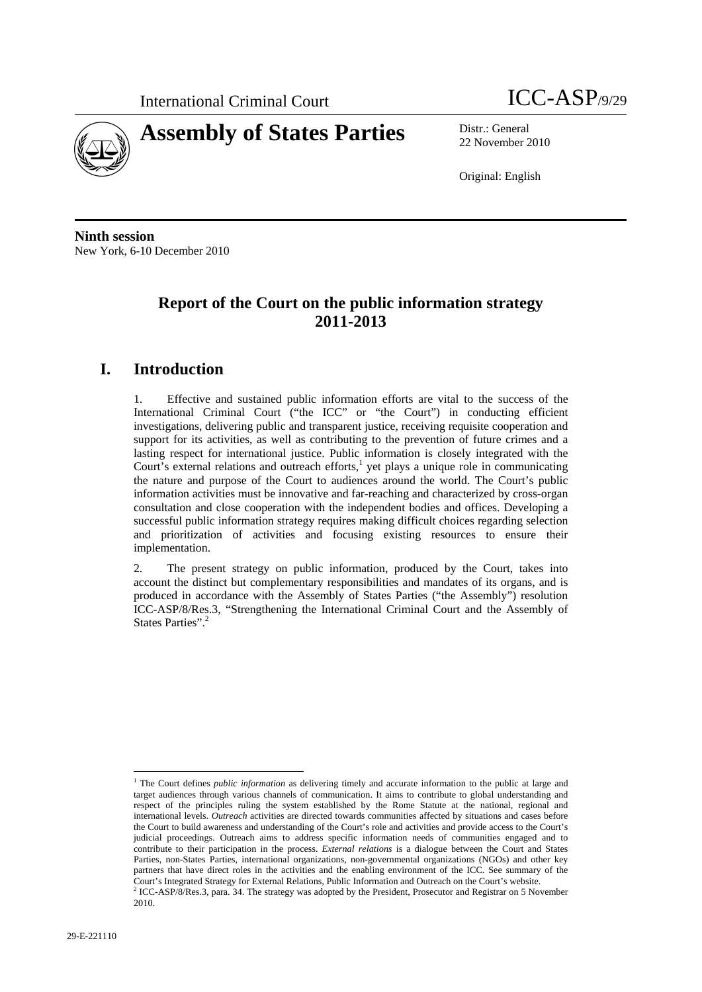



22 November 2010

Original: English

**Ninth session**  New York, 6-10 December 2010

# **Report of the Court on the public information strategy 2011-2013**

# **I. Introduction**

1. Effective and sustained public information efforts are vital to the success of the International Criminal Court ("the ICC" or "the Court") in conducting efficient investigations, delivering public and transparent justice, receiving requisite cooperation and support for its activities, as well as contributing to the prevention of future crimes and a lasting respect for international justice. Public information is closely integrated with the Court's external relations and outreach efforts, $\frac{1}{1}$  yet plays a unique role in communicating the nature and purpose of the Court to audiences around the world. The Court's public information activities must be innovative and far-reaching and characterized by cross-organ consultation and close cooperation with the independent bodies and offices. Developing a successful public information strategy requires making difficult choices regarding selection and prioritization of activities and focusing existing resources to ensure their implementation.

2. The present strategy on public information, produced by the Court, takes into account the distinct but complementary responsibilities and mandates of its organs, and is produced in accordance with the Assembly of States Parties ("the Assembly") resolution ICC-ASP/8/Res.3, "Strengthening the International Criminal Court and the Assembly of States Parties".<sup>2</sup>

<sup>&</sup>lt;sup>1</sup> The Court defines *public information* as delivering timely and accurate information to the public at large and target audiences through various channels of communication. It aims to contribute to global understanding and respect of the principles ruling the system established by the Rome Statute at the national, regional and international levels. *Outreach* activities are directed towards communities affected by situations and cases before the Court to build awareness and understanding of the Court's role and activities and provide access to the Court's judicial proceedings. Outreach aims to address specific information needs of communities engaged and to contribute to their participation in the process. *External relations* is a dialogue between the Court and States Parties, non-States Parties, international organizations, non-governmental organizations (NGOs) and other key partners that have direct roles in the activities and the enabling environment of the ICC. See summary of the Court's Integrated Strategy for External Relations, Public Information and Outreach on the Court's website.<br><sup>2</sup> ICC-ASP/8/Res.3, para. 34. The strategy was adopted by the President, Prosecutor and Registrar on 5 November

<sup>2010.</sup>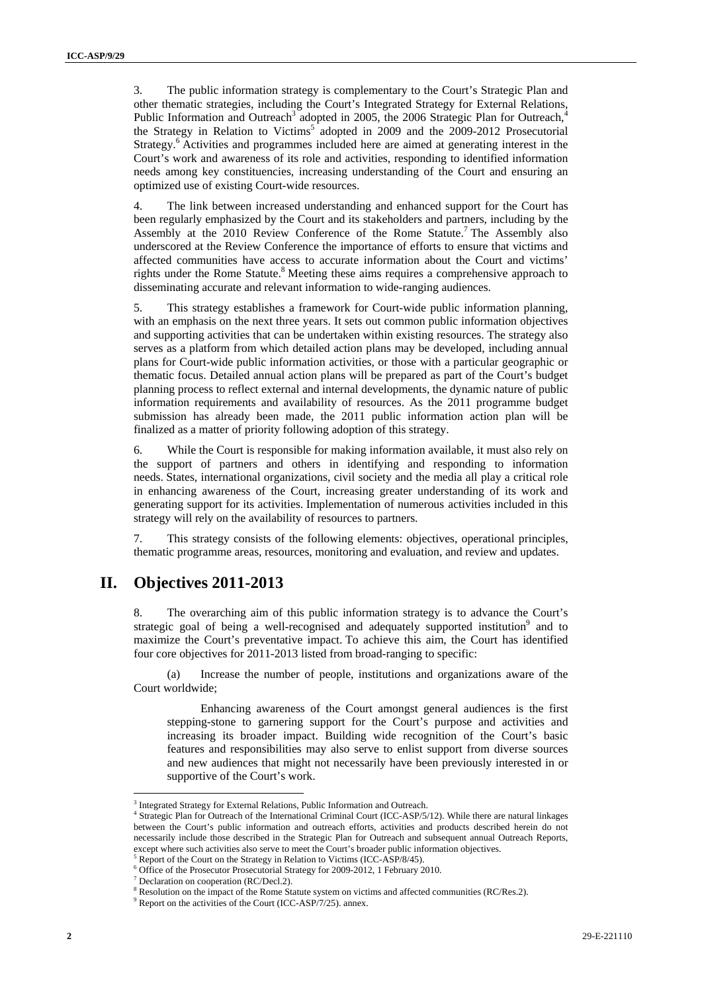3. The public information strategy is complementary to the Court's Strategic Plan and other thematic strategies, including the Court's Integrated Strategy for External Relations, Public Information and Outreach<sup>3</sup> adopted in 2005, the 2006 Strategic Plan for Outreach,<sup>4</sup> the Strategy in Relation to Victims<sup>5</sup> adopted in 2009 and the 2009-2012 Prosecutorial Strategy.<sup>6</sup> Activities and programmes included here are aimed at generating interest in the Court's work and awareness of its role and activities, responding to identified information needs among key constituencies, increasing understanding of the Court and ensuring an optimized use of existing Court-wide resources.

4. The link between increased understanding and enhanced support for the Court has been regularly emphasized by the Court and its stakeholders and partners, including by the Assembly at the 2010 Review Conference of the Rome Statute.<sup>7</sup> The Assembly also underscored at the Review Conference the importance of efforts to ensure that victims and affected communities have access to accurate information about the Court and victims' rights under the Rome Statute.<sup>8</sup> Meeting these aims requires a comprehensive approach to disseminating accurate and relevant information to wide-ranging audiences.

5. This strategy establishes a framework for Court-wide public information planning, with an emphasis on the next three years. It sets out common public information objectives and supporting activities that can be undertaken within existing resources. The strategy also serves as a platform from which detailed action plans may be developed, including annual plans for Court-wide public information activities, or those with a particular geographic or thematic focus. Detailed annual action plans will be prepared as part of the Court's budget planning process to reflect external and internal developments, the dynamic nature of public information requirements and availability of resources. As the 2011 programme budget submission has already been made, the 2011 public information action plan will be finalized as a matter of priority following adoption of this strategy.

6. While the Court is responsible for making information available, it must also rely on the support of partners and others in identifying and responding to information needs. States, international organizations, civil society and the media all play a critical role in enhancing awareness of the Court, increasing greater understanding of its work and generating support for its activities. Implementation of numerous activities included in this strategy will rely on the availability of resources to partners.

7. This strategy consists of the following elements: objectives, operational principles, thematic programme areas, resources, monitoring and evaluation, and review and updates.

## **II. Objectives 2011-2013**

8. The overarching aim of this public information strategy is to advance the Court's strategic goal of being a well-recognised and adequately supported institution<sup>9</sup> and to maximize the Court's preventative impact. To achieve this aim, the Court has identified four core objectives for 2011-2013 listed from broad-ranging to specific:

(a) Increase the number of people, institutions and organizations aware of the Court worldwide;

Enhancing awareness of the Court amongst general audiences is the first stepping-stone to garnering support for the Court's purpose and activities and increasing its broader impact. Building wide recognition of the Court's basic features and responsibilities may also serve to enlist support from diverse sources and new audiences that might not necessarily have been previously interested in or supportive of the Court's work.

<sup>&</sup>lt;sup>3</sup> Integrated Strategy for External Relations, Public Information and Outreach.<br><sup>4</sup> Strategie Plan for Outreach of the International Criminal Court (ICC,  $\Delta SD/5$ )

<sup>&</sup>lt;sup>4</sup> Strategic Plan for Outreach of the International Criminal Court (ICC-ASP/5/12). While there are natural linkages between the Court's public information and outreach efforts, activities and products described herein do not necessarily include those described in the Strategic Plan for Outreach and subsequent annual Outreach Reports, except where such activities also serve to meet the Court's broader public information objectives.

Report of the Court on the Strategy in Relation to Victims (ICC-ASP/8/45).

<sup>&</sup>lt;sup>6</sup> Office of the Prosecutor Prosecutorial Strategy for 2009-2012, 1 February 2010.

 $^7$  Declaration on cooperation (RC/Decl.2).<br><sup>8</sup> Besolution on the impact of the Bome State

Resolution on the impact of the Rome Statute system on victims and affected communities (RC/Res.2).

<sup>&</sup>lt;sup>9</sup> Report on the activities of the Court (ICC-ASP/7/25). annex.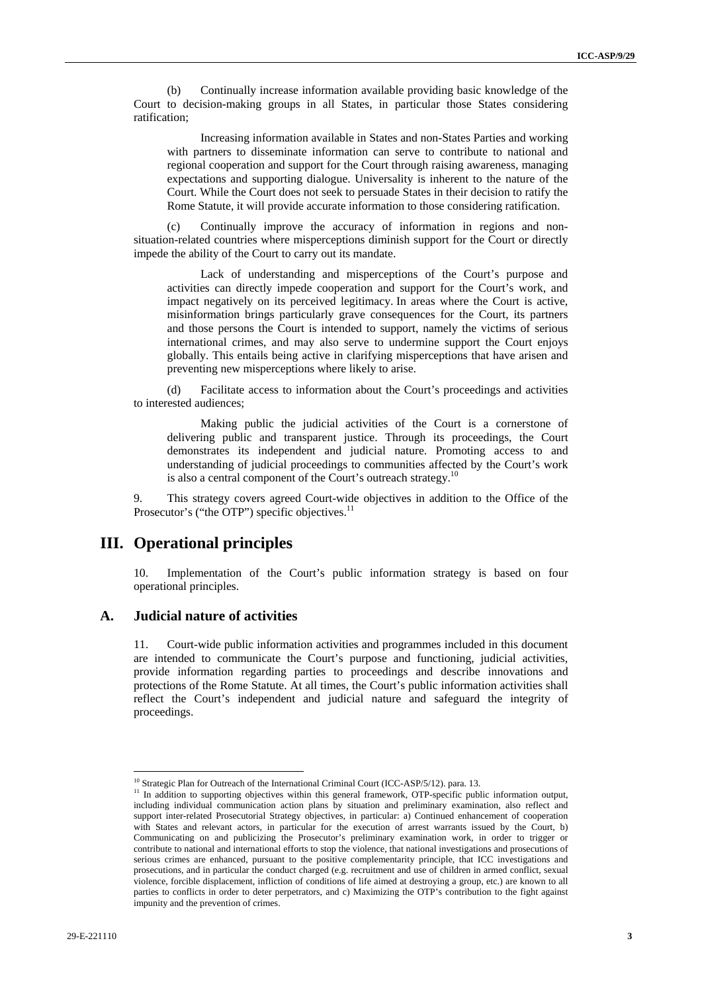(b) Continually increase information available providing basic knowledge of the Court to decision-making groups in all States, in particular those States considering ratification;

Increasing information available in States and non-States Parties and working with partners to disseminate information can serve to contribute to national and regional cooperation and support for the Court through raising awareness, managing expectations and supporting dialogue. Universality is inherent to the nature of the Court. While the Court does not seek to persuade States in their decision to ratify the Rome Statute, it will provide accurate information to those considering ratification.

(c) Continually improve the accuracy of information in regions and nonsituation-related countries where misperceptions diminish support for the Court or directly impede the ability of the Court to carry out its mandate.

Lack of understanding and misperceptions of the Court's purpose and activities can directly impede cooperation and support for the Court's work, and impact negatively on its perceived legitimacy. In areas where the Court is active, misinformation brings particularly grave consequences for the Court, its partners and those persons the Court is intended to support, namely the victims of serious international crimes, and may also serve to undermine support the Court enjoys globally. This entails being active in clarifying misperceptions that have arisen and preventing new misperceptions where likely to arise.

(d) Facilitate access to information about the Court's proceedings and activities to interested audiences;

Making public the judicial activities of the Court is a cornerstone of delivering public and transparent justice. Through its proceedings, the Court demonstrates its independent and judicial nature. Promoting access to and understanding of judicial proceedings to communities affected by the Court's work is also a central component of the Court's outreach strategy.<sup>10</sup>

9. This strategy covers agreed Court-wide objectives in addition to the Office of the Prosecutor's ("the OTP") specific objectives. $11$ 

## **III. Operational principles**

Implementation of the Court's public information strategy is based on four operational principles.

### **A. Judicial nature of activities**

11. Court-wide public information activities and programmes included in this document are intended to communicate the Court's purpose and functioning, judicial activities, provide information regarding parties to proceedings and describe innovations and protections of the Rome Statute. At all times, the Court's public information activities shall reflect the Court's independent and judicial nature and safeguard the integrity of proceedings.

<sup>&</sup>lt;sup>10</sup> Strategic Plan for Outreach of the International Criminal Court (ICC-ASP/5/12). para. 13.<br><sup>11</sup> In addition to supporting objectives within this general framework, OTP-specific public information output, including individual communication action plans by situation and preliminary examination, also reflect and support inter-related Prosecutorial Strategy objectives, in particular: a) Continued enhancement of cooperation with States and relevant actors, in particular for the execution of arrest warrants issued by the Court, b) Communicating on and publicizing the Prosecutor's preliminary examination work, in order to trigger or contribute to national and international efforts to stop the violence, that national investigations and prosecutions of serious crimes are enhanced, pursuant to the positive complementarity principle, that ICC investigations and prosecutions, and in particular the conduct charged (e.g. recruitment and use of children in armed conflict, sexual violence, forcible displacement, infliction of conditions of life aimed at destroying a group, etc.) are known to all parties to conflicts in order to deter perpetrators, and c) Maximizing the OTP's contribution to the fight against impunity and the prevention of crimes.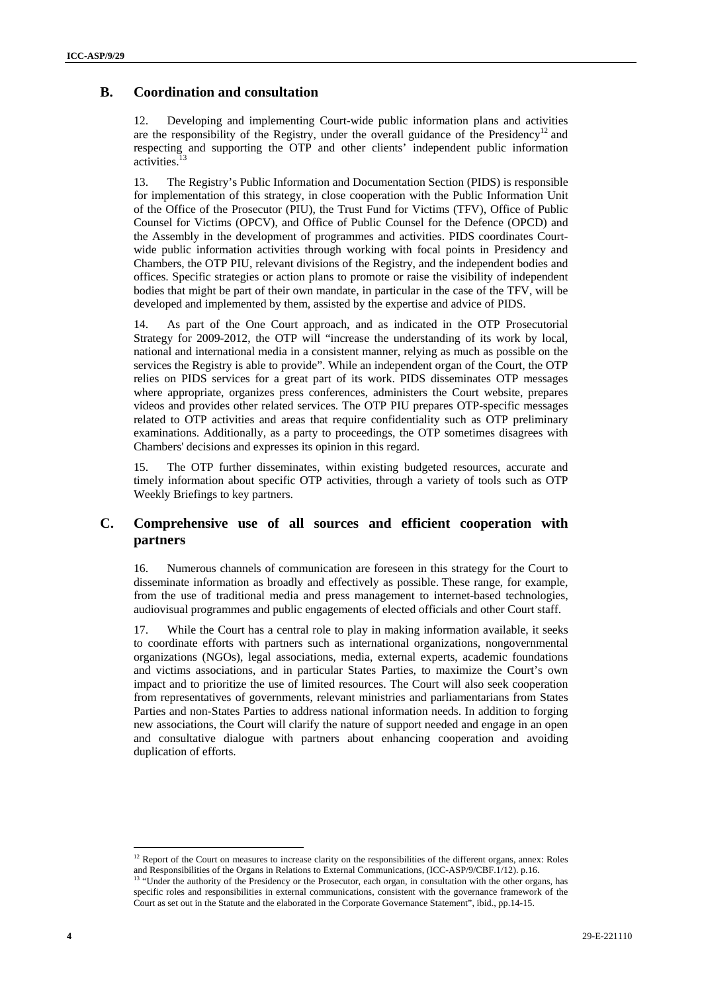## **B. Coordination and consultation**

12. Developing and implementing Court-wide public information plans and activities are the responsibility of the Registry, under the overall guidance of the Presidency<sup>12</sup> and respecting and supporting the OTP and other clients' independent public information activities.<sup>1</sup>

13. The Registry's Public Information and Documentation Section (PIDS) is responsible for implementation of this strategy, in close cooperation with the Public Information Unit of the Office of the Prosecutor (PIU), the Trust Fund for Victims (TFV), Office of Public Counsel for Victims (OPCV), and Office of Public Counsel for the Defence (OPCD) and the Assembly in the development of programmes and activities. PIDS coordinates Courtwide public information activities through working with focal points in Presidency and Chambers, the OTP PIU, relevant divisions of the Registry, and the independent bodies and offices. Specific strategies or action plans to promote or raise the visibility of independent bodies that might be part of their own mandate, in particular in the case of the TFV, will be developed and implemented by them, assisted by the expertise and advice of PIDS.

14. As part of the One Court approach, and as indicated in the OTP Prosecutorial Strategy for 2009-2012, the OTP will "increase the understanding of its work by local, national and international media in a consistent manner, relying as much as possible on the services the Registry is able to provide". While an independent organ of the Court, the OTP relies on PIDS services for a great part of its work. PIDS disseminates OTP messages where appropriate, organizes press conferences, administers the Court website, prepares videos and provides other related services. The OTP PIU prepares OTP-specific messages related to OTP activities and areas that require confidentiality such as OTP preliminary examinations. Additionally, as a party to proceedings, the OTP sometimes disagrees with Chambers' decisions and expresses its opinion in this regard.

15. The OTP further disseminates, within existing budgeted resources, accurate and timely information about specific OTP activities, through a variety of tools such as OTP Weekly Briefings to key partners.

## **C. Comprehensive use of all sources and efficient cooperation with partners**

16. Numerous channels of communication are foreseen in this strategy for the Court to disseminate information as broadly and effectively as possible. These range, for example, from the use of traditional media and press management to internet-based technologies, audiovisual programmes and public engagements of elected officials and other Court staff.

17. While the Court has a central role to play in making information available, it seeks to coordinate efforts with partners such as international organizations, nongovernmental organizations (NGOs), legal associations, media, external experts, academic foundations and victims associations, and in particular States Parties, to maximize the Court's own impact and to prioritize the use of limited resources. The Court will also seek cooperation from representatives of governments, relevant ministries and parliamentarians from States Parties and non-States Parties to address national information needs. In addition to forging new associations, the Court will clarify the nature of support needed and engage in an open and consultative dialogue with partners about enhancing cooperation and avoiding duplication of efforts.

<sup>&</sup>lt;sup>12</sup> Report of the Court on measures to increase clarity on the responsibilities of the different organs, annex: Roles and Responsibilities of the Organs in Relations to External Communications, (ICC-ASP/9/CBF.1/12). p.16 "Under the authority of the Presidency or the Prosecutor, each organ, in consultation with the other organs, has specific roles and responsibilities in external communications, consistent with the governance framework of the Court as set out in the Statute and the elaborated in the Corporate Governance Statement", ibid., pp.14-15.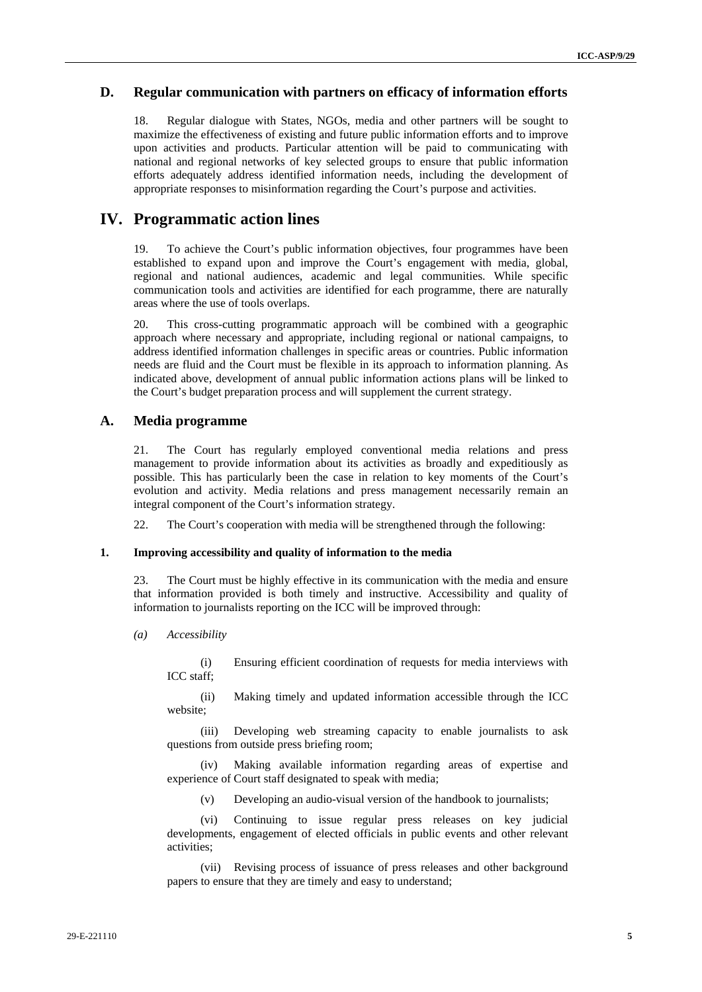## **D. Regular communication with partners on efficacy of information efforts**

18. Regular dialogue with States, NGOs, media and other partners will be sought to maximize the effectiveness of existing and future public information efforts and to improve upon activities and products. Particular attention will be paid to communicating with national and regional networks of key selected groups to ensure that public information efforts adequately address identified information needs, including the development of appropriate responses to misinformation regarding the Court's purpose and activities.

## **IV. Programmatic action lines**

19. To achieve the Court's public information objectives, four programmes have been established to expand upon and improve the Court's engagement with media, global, regional and national audiences, academic and legal communities. While specific communication tools and activities are identified for each programme, there are naturally areas where the use of tools overlaps.

20. This cross-cutting programmatic approach will be combined with a geographic approach where necessary and appropriate, including regional or national campaigns, to address identified information challenges in specific areas or countries. Public information needs are fluid and the Court must be flexible in its approach to information planning. As indicated above, development of annual public information actions plans will be linked to the Court's budget preparation process and will supplement the current strategy.

## **A. Media programme**

21. The Court has regularly employed conventional media relations and press management to provide information about its activities as broadly and expeditiously as possible. This has particularly been the case in relation to key moments of the Court's evolution and activity. Media relations and press management necessarily remain an integral component of the Court's information strategy.

22. The Court's cooperation with media will be strengthened through the following:

#### **1. Improving accessibility and quality of information to the media**

23. The Court must be highly effective in its communication with the media and ensure that information provided is both timely and instructive. Accessibility and quality of information to journalists reporting on the ICC will be improved through:

#### *(a) Accessibility*

(i) Ensuring efficient coordination of requests for media interviews with ICC staff;

(ii) Making timely and updated information accessible through the ICC website;

(iii) Developing web streaming capacity to enable journalists to ask questions from outside press briefing room;

(iv) Making available information regarding areas of expertise and experience of Court staff designated to speak with media;

(v) Developing an audio-visual version of the handbook to journalists;

(vi) Continuing to issue regular press releases on key judicial developments, engagement of elected officials in public events and other relevant activities;

(vii) Revising process of issuance of press releases and other background papers to ensure that they are timely and easy to understand;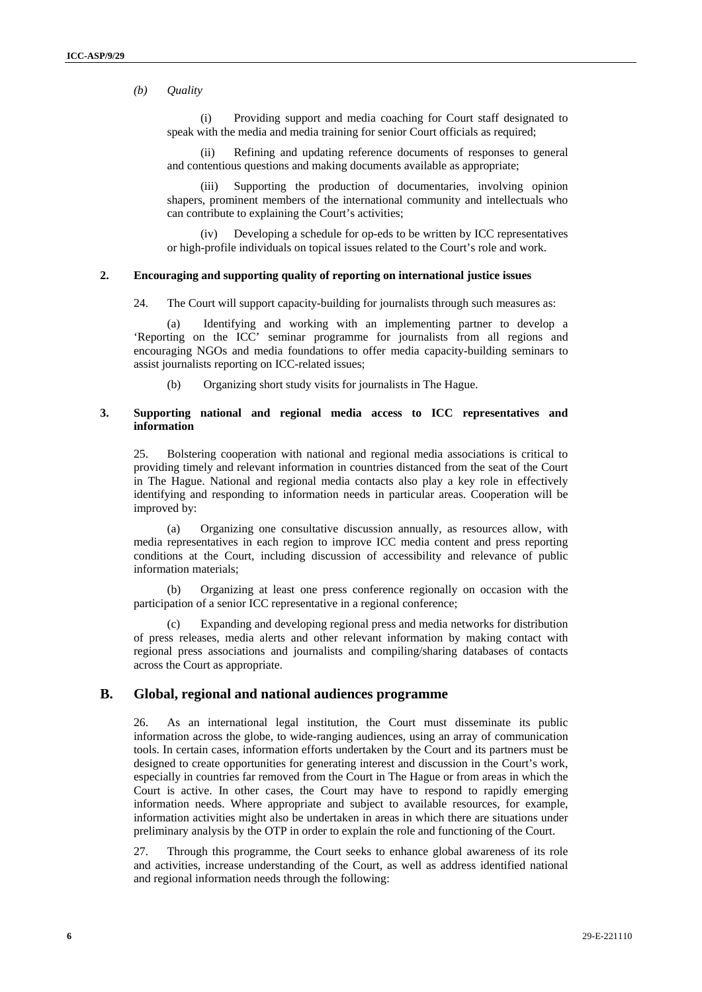*(b) Quality* 

(i) Providing support and media coaching for Court staff designated to speak with the media and media training for senior Court officials as required;

(ii) Refining and updating reference documents of responses to general and contentious questions and making documents available as appropriate;

(iii) Supporting the production of documentaries, involving opinion shapers, prominent members of the international community and intellectuals who can contribute to explaining the Court's activities;

(iv) Developing a schedule for op-eds to be written by ICC representatives or high-profile individuals on topical issues related to the Court's role and work.

#### **2. Encouraging and supporting quality of reporting on international justice issues**

24. The Court will support capacity-building for journalists through such measures as:

(a) Identifying and working with an implementing partner to develop a 'Reporting on the ICC' seminar programme for journalists from all regions and encouraging NGOs and media foundations to offer media capacity-building seminars to assist journalists reporting on ICC-related issues;

(b) Organizing short study visits for journalists in The Hague.

#### **3. Supporting national and regional media access to ICC representatives and information**

25. Bolstering cooperation with national and regional media associations is critical to providing timely and relevant information in countries distanced from the seat of the Court in The Hague. National and regional media contacts also play a key role in effectively identifying and responding to information needs in particular areas. Cooperation will be improved by:

(a) Organizing one consultative discussion annually, as resources allow, with media representatives in each region to improve ICC media content and press reporting conditions at the Court, including discussion of accessibility and relevance of public information materials;

(b) Organizing at least one press conference regionally on occasion with the participation of a senior ICC representative in a regional conference;

(c) Expanding and developing regional press and media networks for distribution of press releases, media alerts and other relevant information by making contact with regional press associations and journalists and compiling/sharing databases of contacts across the Court as appropriate.

## **B. Global, regional and national audiences programme**

26. As an international legal institution, the Court must disseminate its public information across the globe, to wide-ranging audiences, using an array of communication tools. In certain cases, information efforts undertaken by the Court and its partners must be designed to create opportunities for generating interest and discussion in the Court's work, especially in countries far removed from the Court in The Hague or from areas in which the Court is active. In other cases, the Court may have to respond to rapidly emerging information needs. Where appropriate and subject to available resources, for example, information activities might also be undertaken in areas in which there are situations under preliminary analysis by the OTP in order to explain the role and functioning of the Court.

27. Through this programme, the Court seeks to enhance global awareness of its role and activities, increase understanding of the Court, as well as address identified national and regional information needs through the following: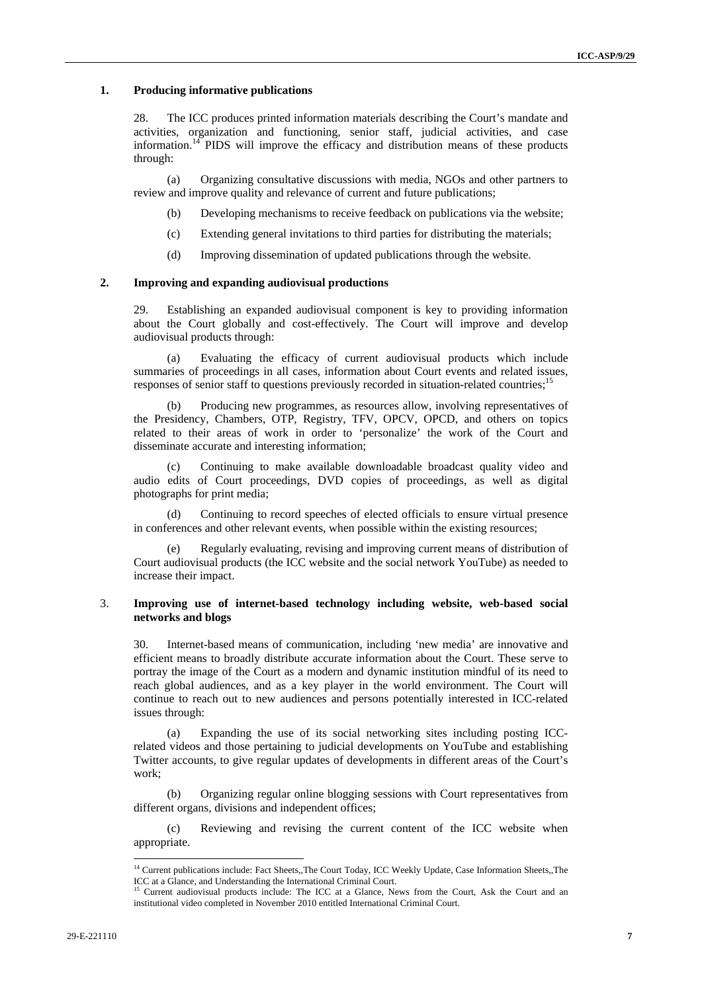#### **1. Producing informative publications**

28. The ICC produces printed information materials describing the Court's mandate and activities, organization and functioning, senior staff, judicial activities, and case information.<sup>14</sup> PIDS will improve the efficacy and distribution means of these products through:

(a) Organizing consultative discussions with media, NGOs and other partners to review and improve quality and relevance of current and future publications;

- (b) Developing mechanisms to receive feedback on publications via the website;
- (c) Extending general invitations to third parties for distributing the materials;
- (d) Improving dissemination of updated publications through the website.

#### **2. Improving and expanding audiovisual productions**

29. Establishing an expanded audiovisual component is key to providing information about the Court globally and cost-effectively. The Court will improve and develop audiovisual products through:

(a) Evaluating the efficacy of current audiovisual products which include summaries of proceedings in all cases, information about Court events and related issues, responses of senior staff to questions previously recorded in situation-related countries;<sup>15</sup>

Producing new programmes, as resources allow, involving representatives of the Presidency, Chambers, OTP, Registry, TFV, OPCV, OPCD, and others on topics related to their areas of work in order to 'personalize' the work of the Court and disseminate accurate and interesting information;

(c) Continuing to make available downloadable broadcast quality video and audio edits of Court proceedings, DVD copies of proceedings, as well as digital photographs for print media;

(d) Continuing to record speeches of elected officials to ensure virtual presence in conferences and other relevant events, when possible within the existing resources;

(e) Regularly evaluating, revising and improving current means of distribution of Court audiovisual products (the ICC website and the social network YouTube) as needed to increase their impact.

#### 3. **Improving use of internet-based technology including website, web-based social networks and blogs**

30. Internet-based means of communication, including 'new media' are innovative and efficient means to broadly distribute accurate information about the Court. These serve to portray the image of the Court as a modern and dynamic institution mindful of its need to reach global audiences, and as a key player in the world environment. The Court will continue to reach out to new audiences and persons potentially interested in ICC-related issues through:

(a) Expanding the use of its social networking sites including posting ICCrelated videos and those pertaining to judicial developments on YouTube and establishing Twitter accounts, to give regular updates of developments in different areas of the Court's work;

(b) Organizing regular online blogging sessions with Court representatives from different organs, divisions and independent offices;

(c) Reviewing and revising the current content of the ICC website when appropriate.

<sup>&</sup>lt;sup>14</sup> Current publications include: Fact Sheets,,The Court Today, ICC Weekly Update, Case Information Sheets,,The ICC at a Glance, and Understanding the International Criminal Court.<br><sup>15</sup> Current audiovisual products include: The ICC at a Glance, News from the Court, Ask the Court and an

institutional video completed in November 2010 entitled International Criminal Court.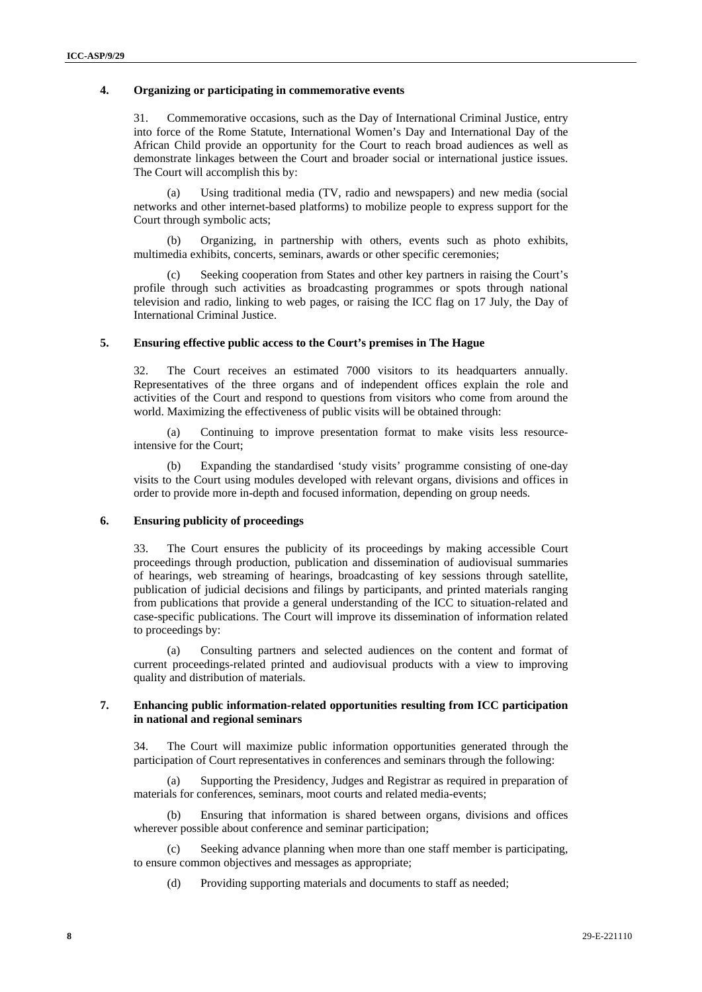#### **4. Organizing or participating in commemorative events**

31. Commemorative occasions, such as the Day of International Criminal Justice, entry into force of the Rome Statute, International Women's Day and International Day of the African Child provide an opportunity for the Court to reach broad audiences as well as demonstrate linkages between the Court and broader social or international justice issues. The Court will accomplish this by:

(a) Using traditional media (TV, radio and newspapers) and new media (social networks and other internet-based platforms) to mobilize people to express support for the Court through symbolic acts;

(b) Organizing, in partnership with others, events such as photo exhibits, multimedia exhibits, concerts, seminars, awards or other specific ceremonies;

(c) Seeking cooperation from States and other key partners in raising the Court's profile through such activities as broadcasting programmes or spots through national television and radio, linking to web pages, or raising the ICC flag on 17 July, the Day of International Criminal Justice.

#### **5. Ensuring effective public access to the Court's premises in The Hague**

32. The Court receives an estimated 7000 visitors to its headquarters annually. Representatives of the three organs and of independent offices explain the role and activities of the Court and respond to questions from visitors who come from around the world. Maximizing the effectiveness of public visits will be obtained through:

(a) Continuing to improve presentation format to make visits less resourceintensive for the Court;

Expanding the standardised 'study visits' programme consisting of one-day visits to the Court using modules developed with relevant organs, divisions and offices in order to provide more in-depth and focused information, depending on group needs.

#### **6. Ensuring publicity of proceedings**

33. The Court ensures the publicity of its proceedings by making accessible Court proceedings through production, publication and dissemination of audiovisual summaries of hearings, web streaming of hearings, broadcasting of key sessions through satellite, publication of judicial decisions and filings by participants, and printed materials ranging from publications that provide a general understanding of the ICC to situation-related and case-specific publications. The Court will improve its dissemination of information related to proceedings by:

(a) Consulting partners and selected audiences on the content and format of current proceedings-related printed and audiovisual products with a view to improving quality and distribution of materials.

#### **7. Enhancing public information-related opportunities resulting from ICC participation in national and regional seminars**

34. The Court will maximize public information opportunities generated through the participation of Court representatives in conferences and seminars through the following:

(a) Supporting the Presidency, Judges and Registrar as required in preparation of materials for conferences, seminars, moot courts and related media-events;

(b) Ensuring that information is shared between organs, divisions and offices wherever possible about conference and seminar participation;

(c) Seeking advance planning when more than one staff member is participating, to ensure common objectives and messages as appropriate;

(d) Providing supporting materials and documents to staff as needed;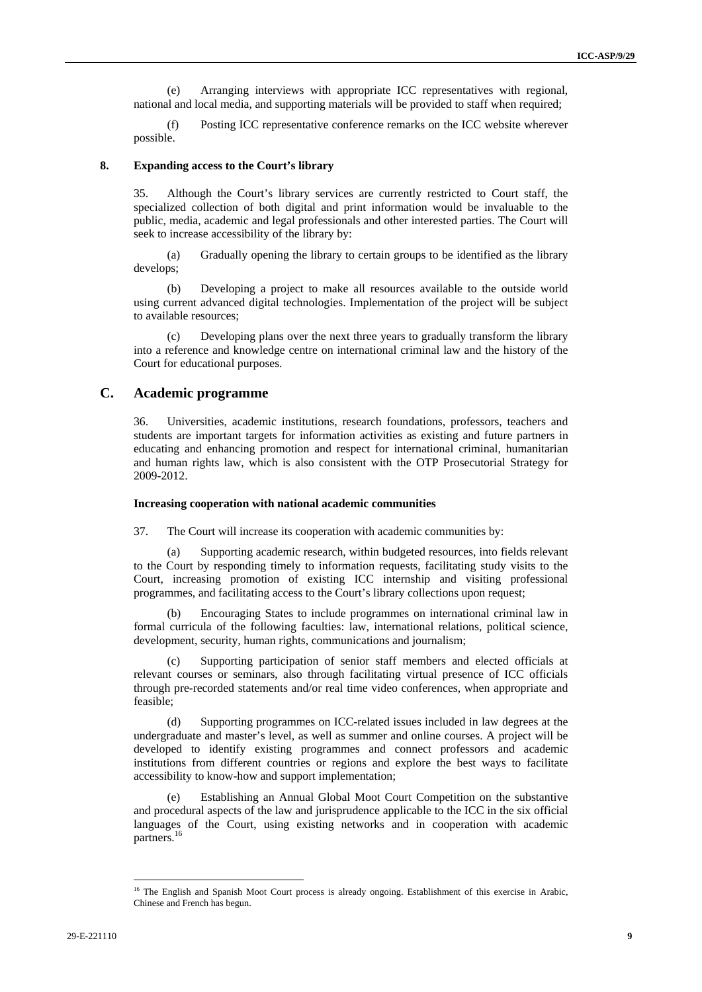(e) Arranging interviews with appropriate ICC representatives with regional, national and local media, and supporting materials will be provided to staff when required;

(f) Posting ICC representative conference remarks on the ICC website wherever possible.

#### **8. Expanding access to the Court's library**

35. Although the Court's library services are currently restricted to Court staff, the specialized collection of both digital and print information would be invaluable to the public, media, academic and legal professionals and other interested parties. The Court will seek to increase accessibility of the library by:

(a) Gradually opening the library to certain groups to be identified as the library develops;

(b) Developing a project to make all resources available to the outside world using current advanced digital technologies. Implementation of the project will be subject to available resources;

(c) Developing plans over the next three years to gradually transform the library into a reference and knowledge centre on international criminal law and the history of the Court for educational purposes.

## **C. Academic programme**

36. Universities, academic institutions, research foundations, professors, teachers and students are important targets for information activities as existing and future partners in educating and enhancing promotion and respect for international criminal, humanitarian and human rights law, which is also consistent with the OTP Prosecutorial Strategy for 2009-2012.

#### **Increasing cooperation with national academic communities**

37. The Court will increase its cooperation with academic communities by:

Supporting academic research, within budgeted resources, into fields relevant to the Court by responding timely to information requests, facilitating study visits to the Court, increasing promotion of existing ICC internship and visiting professional programmes, and facilitating access to the Court's library collections upon request;

(b) Encouraging States to include programmes on international criminal law in formal curricula of the following faculties: law, international relations, political science, development, security, human rights, communications and journalism;

(c) Supporting participation of senior staff members and elected officials at relevant courses or seminars, also through facilitating virtual presence of ICC officials through pre-recorded statements and/or real time video conferences, when appropriate and feasible;

(d) Supporting programmes on ICC-related issues included in law degrees at the undergraduate and master's level, as well as summer and online courses. A project will be developed to identify existing programmes and connect professors and academic institutions from different countries or regions and explore the best ways to facilitate accessibility to know-how and support implementation;

(e) Establishing an Annual Global Moot Court Competition on the substantive and procedural aspects of the law and jurisprudence applicable to the ICC in the six official languages of the Court, using existing networks and in cooperation with academic partners.<sup>16</sup>

<sup>&</sup>lt;sup>16</sup> The English and Spanish Moot Court process is already ongoing. Establishment of this exercise in Arabic, Chinese and French has begun.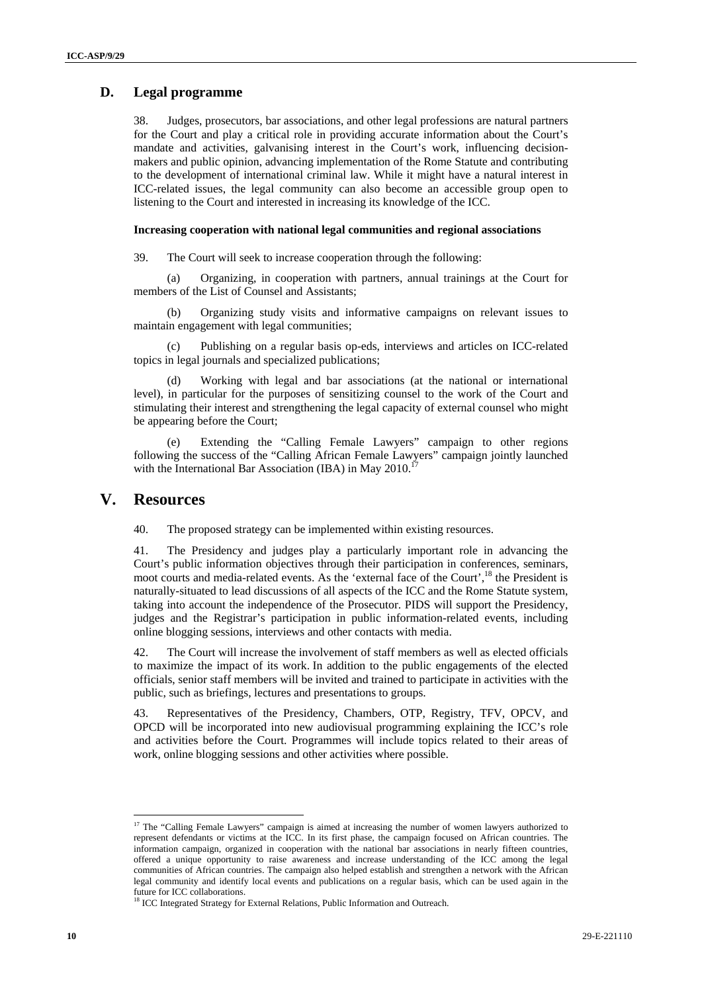## **D. Legal programme**

38. Judges, prosecutors, bar associations, and other legal professions are natural partners for the Court and play a critical role in providing accurate information about the Court's mandate and activities, galvanising interest in the Court's work, influencing decisionmakers and public opinion, advancing implementation of the Rome Statute and contributing to the development of international criminal law. While it might have a natural interest in ICC-related issues, the legal community can also become an accessible group open to listening to the Court and interested in increasing its knowledge of the ICC.

#### **Increasing cooperation with national legal communities and regional associations**

39. The Court will seek to increase cooperation through the following:

(a) Organizing, in cooperation with partners, annual trainings at the Court for members of the List of Counsel and Assistants;

(b) Organizing study visits and informative campaigns on relevant issues to maintain engagement with legal communities;

(c) Publishing on a regular basis op-eds, interviews and articles on ICC-related topics in legal journals and specialized publications;

(d) Working with legal and bar associations (at the national or international level), in particular for the purposes of sensitizing counsel to the work of the Court and stimulating their interest and strengthening the legal capacity of external counsel who might be appearing before the Court;

Extending the "Calling Female Lawyers" campaign to other regions following the success of the "Calling African Female Lawyers" campaign jointly launched with the International Bar Association (IBA) in May 2010.<sup>17</sup>

## **V. Resources**

 $\overline{a}$ 

40. The proposed strategy can be implemented within existing resources.

41. The Presidency and judges play a particularly important role in advancing the Court's public information objectives through their participation in conferences, seminars, moot courts and media-related events. As the 'external face of the Court',<sup>18</sup> the President is naturally-situated to lead discussions of all aspects of the ICC and the Rome Statute system, taking into account the independence of the Prosecutor. PIDS will support the Presidency, judges and the Registrar's participation in public information-related events, including online blogging sessions, interviews and other contacts with media.

42. The Court will increase the involvement of staff members as well as elected officials to maximize the impact of its work. In addition to the public engagements of the elected officials, senior staff members will be invited and trained to participate in activities with the public, such as briefings, lectures and presentations to groups.

43. Representatives of the Presidency, Chambers, OTP, Registry, TFV, OPCV, and OPCD will be incorporated into new audiovisual programming explaining the ICC's role and activities before the Court. Programmes will include topics related to their areas of work, online blogging sessions and other activities where possible.

<sup>&</sup>lt;sup>17</sup> The "Calling Female Lawyers" campaign is aimed at increasing the number of women lawyers authorized to represent defendants or victims at the ICC. In its first phase, the campaign focused on African countries. The information campaign, organized in cooperation with the national bar associations in nearly fifteen countries, offered a unique opportunity to raise awareness and increase understanding of the ICC among the legal communities of African countries. The campaign also helped establish and strengthen a network with the African legal community and identify local events and publications on a regular basis, which can be used again in the future for ICC collaborations.

<sup>&</sup>lt;sup>18</sup> ICC Integrated Strategy for External Relations, Public Information and Outreach.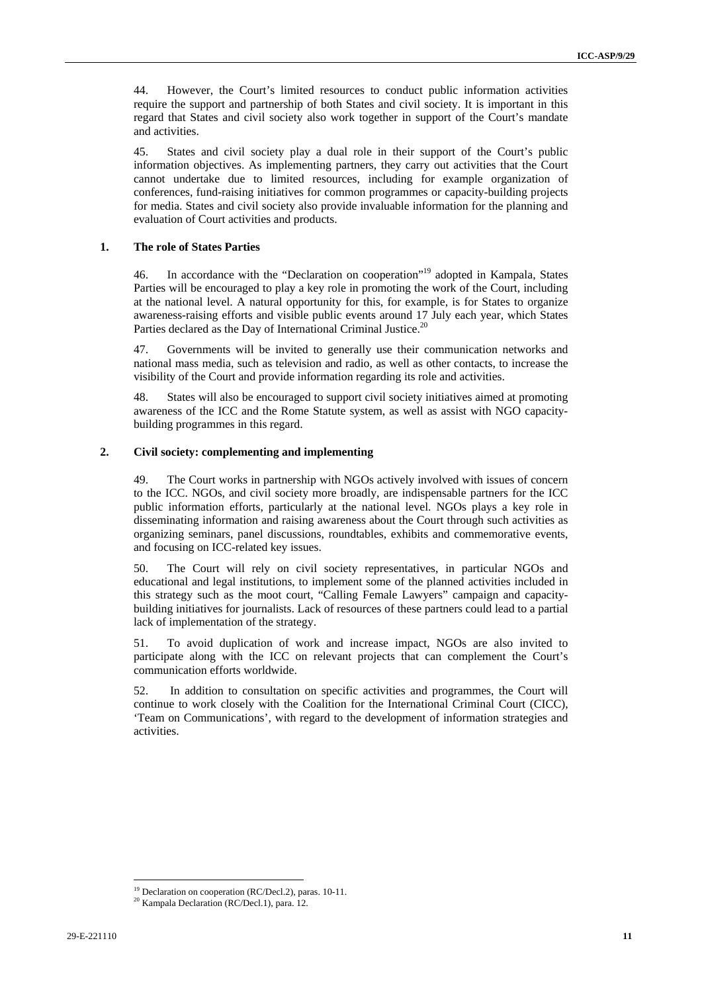44. However, the Court's limited resources to conduct public information activities require the support and partnership of both States and civil society. It is important in this regard that States and civil society also work together in support of the Court's mandate and activities.

45. States and civil society play a dual role in their support of the Court's public information objectives. As implementing partners, they carry out activities that the Court cannot undertake due to limited resources, including for example organization of conferences, fund-raising initiatives for common programmes or capacity-building projects for media. States and civil society also provide invaluable information for the planning and evaluation of Court activities and products.

#### **1. The role of States Parties**

46. In accordance with the "Declaration on cooperation"19 adopted in Kampala, States Parties will be encouraged to play a key role in promoting the work of the Court, including at the national level. A natural opportunity for this, for example, is for States to organize awareness-raising efforts and visible public events around 17 July each year, which States Parties declared as the Day of International Criminal Justice.<sup>20</sup>

47. Governments will be invited to generally use their communication networks and national mass media, such as television and radio, as well as other contacts, to increase the visibility of the Court and provide information regarding its role and activities.

48. States will also be encouraged to support civil society initiatives aimed at promoting awareness of the ICC and the Rome Statute system, as well as assist with NGO capacitybuilding programmes in this regard.

#### **2. Civil society: complementing and implementing**

49. The Court works in partnership with NGOs actively involved with issues of concern to the ICC. NGOs, and civil society more broadly, are indispensable partners for the ICC public information efforts, particularly at the national level. NGOs plays a key role in disseminating information and raising awareness about the Court through such activities as organizing seminars, panel discussions, roundtables, exhibits and commemorative events, and focusing on ICC-related key issues.

50. The Court will rely on civil society representatives, in particular NGOs and educational and legal institutions, to implement some of the planned activities included in this strategy such as the moot court, "Calling Female Lawyers" campaign and capacitybuilding initiatives for journalists. Lack of resources of these partners could lead to a partial lack of implementation of the strategy.

51. To avoid duplication of work and increase impact, NGOs are also invited to participate along with the ICC on relevant projects that can complement the Court's communication efforts worldwide.

52. In addition to consultation on specific activities and programmes, the Court will continue to work closely with the Coalition for the International Criminal Court (CICC), 'Team on Communications', with regard to the development of information strategies and activities.

<sup>&</sup>lt;sup>19</sup> Declaration on cooperation (RC/Decl.2), paras. 10-11.<br><sup>20</sup> Kampala Declaration (RC/Decl.1), para. 12.